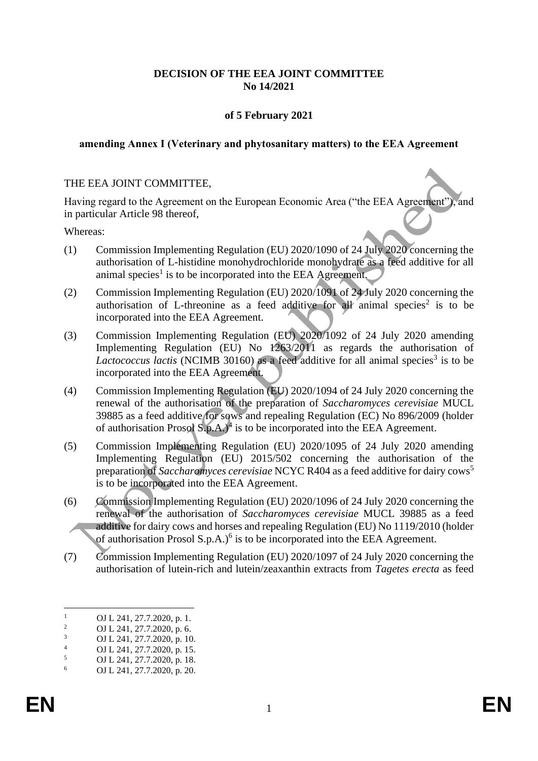## **DECISION OF THE EEA JOINT COMMITTEE No 14/2021**

## **of 5 February 2021**

#### **amending Annex I (Veterinary and phytosanitary matters) to the EEA Agreement**

#### THE EEA JOINT COMMITTEE,

Having regard to the Agreement on the European Economic Area ("the EEA Agreement"), and in particular Article 98 thereof,

Whereas:

- (1) Commission Implementing Regulation (EU) 2020/1090 of 24 July 2020 concerning the authorisation of L-histidine monohydrochloride monohydrate as a feed additive for all animal species<sup>1</sup> is to be incorporated into the EEA Agreement.
- (2) Commission Implementing Regulation (EU) 2020/1091 of 24 July 2020 concerning the authorisation of L-threonine as a feed additive for all animal species<sup>2</sup> is to be incorporated into the EEA Agreement.
- (3) Commission Implementing Regulation (EU) 2020/1092 of 24 July 2020 amending Implementing Regulation (EU) No 1263/2011 as regards the authorisation of Lactococcus lactis (NCIMB 30160) as a feed additive for all animal species<sup>3</sup> is to be incorporated into the EEA Agreement.
- (4) Commission Implementing Regulation (EU) 2020/1094 of 24 July 2020 concerning the renewal of the authorisation of the preparation of *Saccharomyces cerevisiae* MUCL 39885 as a feed additive for sows and repealing Regulation (EC) No 896/2009 (holder of authorisation Prosol  $S.p.A.$ <sup>4</sup> is to be incorporated into the EEA Agreement.
- (5) Commission Implementing Regulation (EU) 2020/1095 of 24 July 2020 amending Implementing Regulation (EU) 2015/502 concerning the authorisation of the preparation of *Saccharomyces cerevisiae* NCYC R404 as a feed additive for dairy cows<sup>5</sup> is to be incorporated into the EEA Agreement.
- (6) Commission Implementing Regulation (EU) 2020/1096 of 24 July 2020 concerning the renewal of the authorisation of *Saccharomyces cerevisiae* MUCL 39885 as a feed additive for dairy cows and horses and repealing Regulation (EU) No 1119/2010 (holder of authorisation Prosol S.p.A.) $<sup>6</sup>$  is to be incorporated into the EEA Agreement.</sup>
- (7) Commission Implementing Regulation (EU) 2020/1097 of 24 July 2020 concerning the authorisation of lutein-rich and lutein/zeaxanthin extracts from *Tagetes erecta* as feed

 $\frac{1}{2}$  OJ L 241, 27.7.2020, p. 1.

<sup>&</sup>lt;sup>2</sup> OJ L 241, 27.7.2020, p. 6.<br><sup>3</sup> OJ L 241, 27.7.2020, p. 10

 $\frac{3}{4}$  OJ L 241, 27.7.2020, p. 10.

 $^{4}$  OJ L 241, 27.7.2020, p. 15.

 $\frac{5}{6}$  OJ L 241, 27.7.2020, p. 18.

<sup>6</sup> OJ L 241, 27.7.2020, p. 20.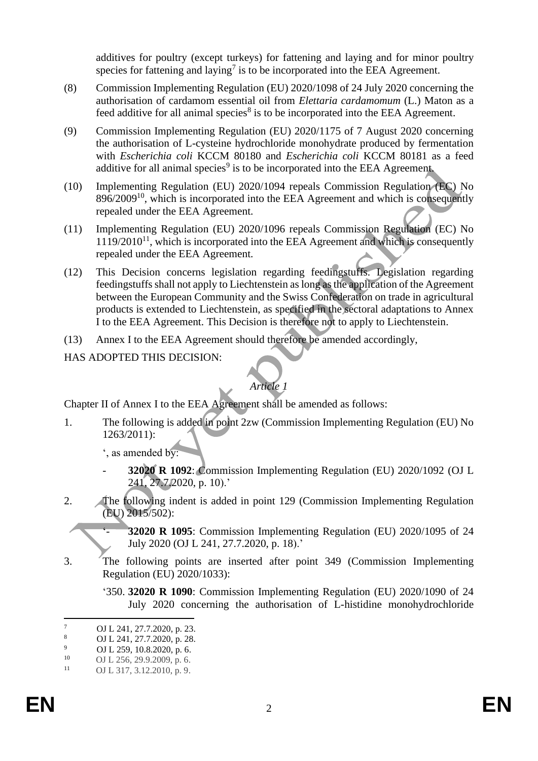additives for poultry (except turkeys) for fattening and laying and for minor poultry species for fattening and laying<sup>7</sup> is to be incorporated into the EEA Agreement.

- (8) Commission Implementing Regulation (EU) 2020/1098 of 24 July 2020 concerning the authorisation of cardamom essential oil from *Elettaria cardamomum* (L.) Maton as a feed additive for all animal species<sup>8</sup> is to be incorporated into the EEA Agreement.
- (9) Commission Implementing Regulation (EU) 2020/1175 of 7 August 2020 concerning the authorisation of L-cysteine hydrochloride monohydrate produced by fermentation with *Escherichia coli* KCCM 80180 and *Escherichia coli* KCCM 80181 as a feed additive for all animal species<sup>9</sup> is to be incorporated into the EEA Agreement.
- (10) Implementing Regulation (EU) 2020/1094 repeals Commission Regulation (EC) No 896/2009<sup>10</sup>, which is incorporated into the EEA Agreement and which is consequently repealed under the EEA Agreement.
- (11) Implementing Regulation (EU) 2020/1096 repeals Commission Regulation (EC) No  $1119/2010<sup>11</sup>$ , which is incorporated into the EEA Agreement and which is consequently repealed under the EEA Agreement.
- (12) This Decision concerns legislation regarding feedingstuffs. Legislation regarding feedingstuffs shall not apply to Liechtenstein as long as the application of the Agreement between the European Community and the Swiss Confederation on trade in agricultural products is extended to Liechtenstein, as specified in the sectoral adaptations to Annex I to the EEA Agreement. This Decision is therefore not to apply to Liechtenstein.
- (13) Annex I to the EEA Agreement should therefore be amended accordingly,
- HAS ADOPTED THIS DECISION:

# *Article 1*

Chapter II of Annex I to the EEA Agreement shall be amended as follows:

1. The following is added in point 2zw (Commission Implementing Regulation (EU) No 1263/2011):

', as amended by:

- **32020 R 1092**: Commission Implementing Regulation (EU) 2020/1092 (OJ L 241, 27.7.2020, p. 10).'
- 2. The following indent is added in point 129 (Commission Implementing Regulation (EU) 2015/502):

**32020 R 1095**: Commission Implementing Regulation (EU) 2020/1095 of 24 July 2020 (OJ L 241, 27.7.2020, p. 18).'

- 3. The following points are inserted after point 349 (Commission Implementing Regulation (EU) 2020/1033):
	- '350. **32020 R 1090**: Commission Implementing Regulation (EU) 2020/1090 of 24 July 2020 concerning the authorisation of L-histidine monohydrochloride

 $\frac{7}{8}$  OJ L 241, 27.7.2020, p. 23.

 $\frac{8}{9}$  OJ L 241, 27.7.2020, p. 28.

 $^{9}$  OJ L 259, 10.8.2020, p. 6.<br>
OJ L 256, 29, 9.2009, p. 6.

 $^{10}$  OJ L 256, 29.9.2009, p. 6.<br> $^{11}$  OJ L 317, 3.12, 2010, p. 9.

OJ L 317, 3.12.2010, p. 9.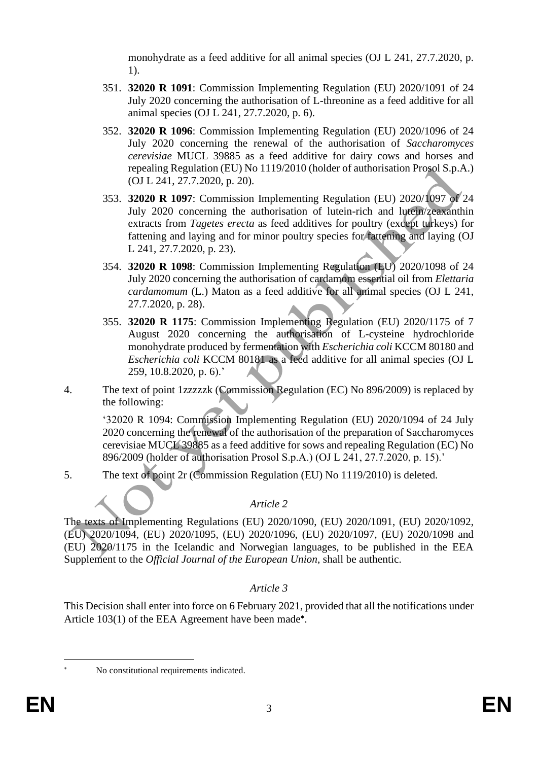monohydrate as a feed additive for all animal species (OJ L 241, 27.7.2020, p. 1).

- 351. **32020 R 1091**: Commission Implementing Regulation (EU) 2020/1091 of 24 July 2020 concerning the authorisation of L-threonine as a feed additive for all animal species (OJ L 241, 27.7.2020, p. 6).
- 352. **32020 R 1096**: Commission Implementing Regulation (EU) 2020/1096 of 24 July 2020 concerning the renewal of the authorisation of *Saccharomyces cerevisiae* MUCL 39885 as a feed additive for dairy cows and horses and repealing Regulation (EU) No 1119/2010 (holder of authorisation Prosol S.p.A.) (OJ L 241, 27.7.2020, p. 20).
- 353. **32020 R 1097**: Commission Implementing Regulation (EU) 2020/1097 of 24 July 2020 concerning the authorisation of lutein-rich and lutein/zeaxanthin extracts from *Tagetes erecta* as feed additives for poultry (except turkeys) for fattening and laying and for minor poultry species for fattening and laying (OJ L 241, 27.7.2020, p. 23).
- 354. **32020 R 1098**: Commission Implementing Regulation (EU) 2020/1098 of 24 July 2020 concerning the authorisation of cardamom essential oil from *Elettaria cardamomum* (L.) Maton as a feed additive for all animal species (OJ L 241, 27.7.2020, p. 28).
- 355. **32020 R 1175**: Commission Implementing Regulation (EU) 2020/1175 of 7 August 2020 concerning the authorisation of L-cysteine hydrochloride monohydrate produced by fermentation with *Escherichia coli* KCCM 80180 and *Escherichia coli* KCCM 80181 as a feed additive for all animal species (OJ L 259, 10.8.2020, p. 6).'
- 4. The text of point 1zzzzzk (Commission Regulation (EC) No 896/2009) is replaced by the following:

'32020 R 1094: Commission Implementing Regulation (EU) 2020/1094 of 24 July 2020 concerning the renewal of the authorisation of the preparation of Saccharomyces cerevisiae MUCL 39885 as a feed additive for sows and repealing Regulation (EC) No 896/2009 (holder of authorisation Prosol S.p.A.) (OJ L 241, 27.7.2020, p. 15).'

5. The text of point 2r (Commission Regulation (EU) No 1119/2010) is deleted.

# *Article 2*

The texts of Implementing Regulations (EU) 2020/1090, (EU) 2020/1091, (EU) 2020/1092, (EU) 2020/1094, (EU) 2020/1095, (EU) 2020/1096, (EU) 2020/1097, (EU) 2020/1098 and (EU) 2020/1175 in the Icelandic and Norwegian languages, to be published in the EEA Supplement to the *Official Journal of the European Union*, shall be authentic.

# *Article 3*

This Decision shall enter into force on 6 February 2021, provided that all the notifications under Article 103(1) of the EEA Agreement have been made<sup>\*</sup>.

No constitutional requirements indicated.